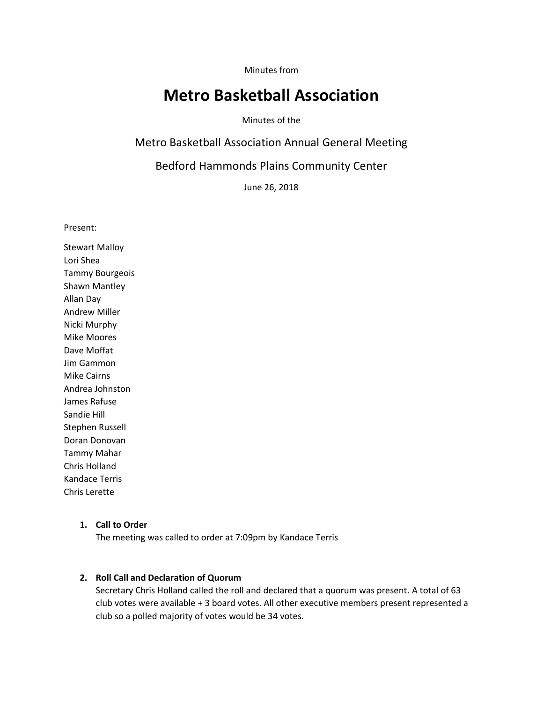Minutes from

# **Metro Basketball Association**

Minutes of the

Metro Basketball Association Annual General Meeting

Bedford Hammonds Plains Community Center

June 26, 2018

Present:

Stewart Malloy Lori Shea Tammy Bourgeois Shawn Mantley Allan Day Andrew Miller Nicki Murphy Mike Moores Dave Moffat Jim Gammon Mike Cairns Andrea Johnston James Rafuse Sandie Hill Stephen Russell Doran Donovan Tammy Mahar Chris Holland Kandace Terris Chris Lerette

#### **1. Call to Order**

The meeting was called to order at 7:09pm by Kandace Terris

# **2. Roll Call and Declaration of Quorum**

Secretary Chris Holland called the roll and declared that a quorum was present. A total of 63 club votes were available + 3 board votes. All other executive members present represented a club so a polled majority of votes would be 34 votes.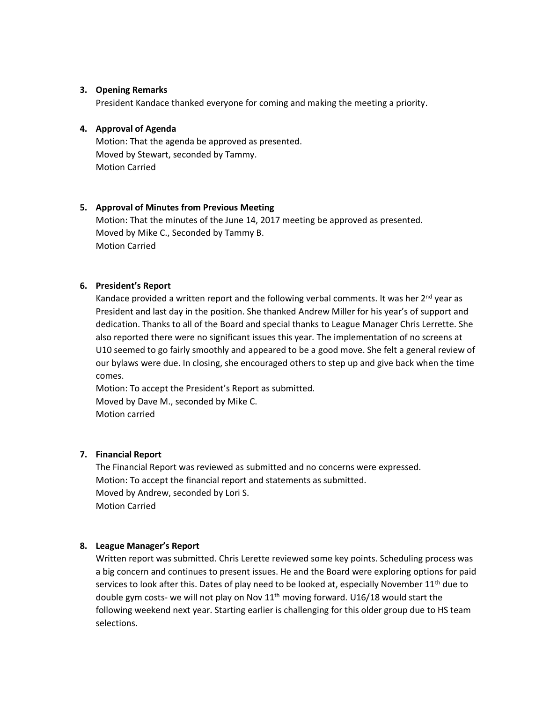## **3. Opening Remarks**

President Kandace thanked everyone for coming and making the meeting a priority.

## **4. Approval of Agenda**

Motion: That the agenda be approved as presented. Moved by Stewart, seconded by Tammy. Motion Carried

# **5. Approval of Minutes from Previous Meeting**

Motion: That the minutes of the June 14, 2017 meeting be approved as presented. Moved by Mike C., Seconded by Tammy B. Motion Carried

### **6. President's Report**

Kandace provided a written report and the following verbal comments. It was her  $2<sup>nd</sup>$  year as President and last day in the position. She thanked Andrew Miller for his year's of support and dedication. Thanks to all of the Board and special thanks to League Manager Chris Lerrette. She also reported there were no significant issues this year. The implementation of no screens at U10 seemed to go fairly smoothly and appeared to be a good move. She felt a general review of our bylaws were due. In closing, she encouraged others to step up and give back when the time comes.

Motion: To accept the President's Report as submitted. Moved by Dave M., seconded by Mike C. Motion carried

# **7. Financial Report**

The Financial Report was reviewed as submitted and no concerns were expressed. Motion: To accept the financial report and statements as submitted. Moved by Andrew, seconded by Lori S. Motion Carried

## **8. League Manager's Report**

Written report was submitted. Chris Lerette reviewed some key points. Scheduling process was a big concern and continues to present issues. He and the Board were exploring options for paid services to look after this. Dates of play need to be looked at, especially November  $11<sup>th</sup>$  due to double gym costs- we will not play on Nov  $11<sup>th</sup>$  moving forward. U16/18 would start the following weekend next year. Starting earlier is challenging for this older group due to HS team selections.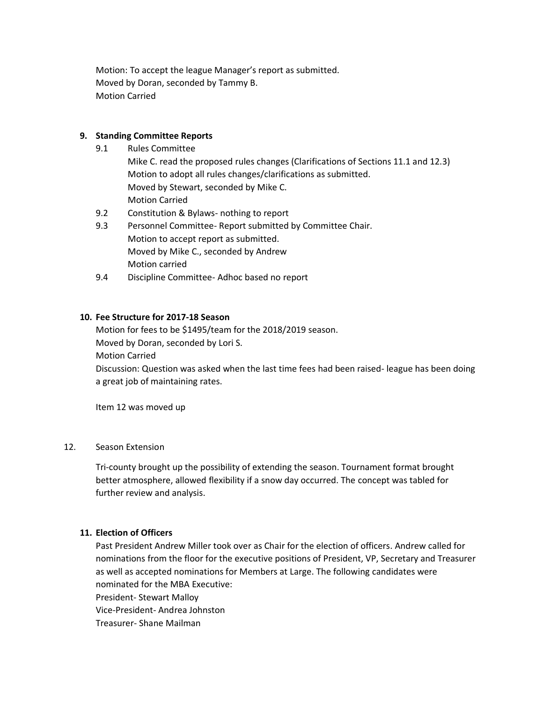Motion: To accept the league Manager's report as submitted. Moved by Doran, seconded by Tammy B. Motion Carried

# **9. Standing Committee Reports**

- 9.1 Rules Committee
	- Mike C. read the proposed rules changes (Clarifications of Sections 11.1 and 12.3) Motion to adopt all rules changes/clarifications as submitted. Moved by Stewart, seconded by Mike C. Motion Carried
- 9.2 Constitution & Bylaws- nothing to report
- 9.3 Personnel Committee- Report submitted by Committee Chair. Motion to accept report as submitted. Moved by Mike C., seconded by Andrew Motion carried
- 9.4 Discipline Committee- Adhoc based no report

# **10. Fee Structure for 2017-18 Season**

Motion for fees to be \$1495/team for the 2018/2019 season. Moved by Doran, seconded by Lori S. Motion Carried Discussion: Question was asked when the last time fees had been raised- league has been doing a great job of maintaining rates.

Item 12 was moved up

#### 12. Season Extension

Tri-county brought up the possibility of extending the season. Tournament format brought better atmosphere, allowed flexibility if a snow day occurred. The concept was tabled for further review and analysis.

### **11. Election of Officers**

Past President Andrew Miller took over as Chair for the election of officers. Andrew called for nominations from the floor for the executive positions of President, VP, Secretary and Treasurer as well as accepted nominations for Members at Large. The following candidates were nominated for the MBA Executive: President- Stewart Malloy

Vice-President- Andrea Johnston

Treasurer- Shane Mailman